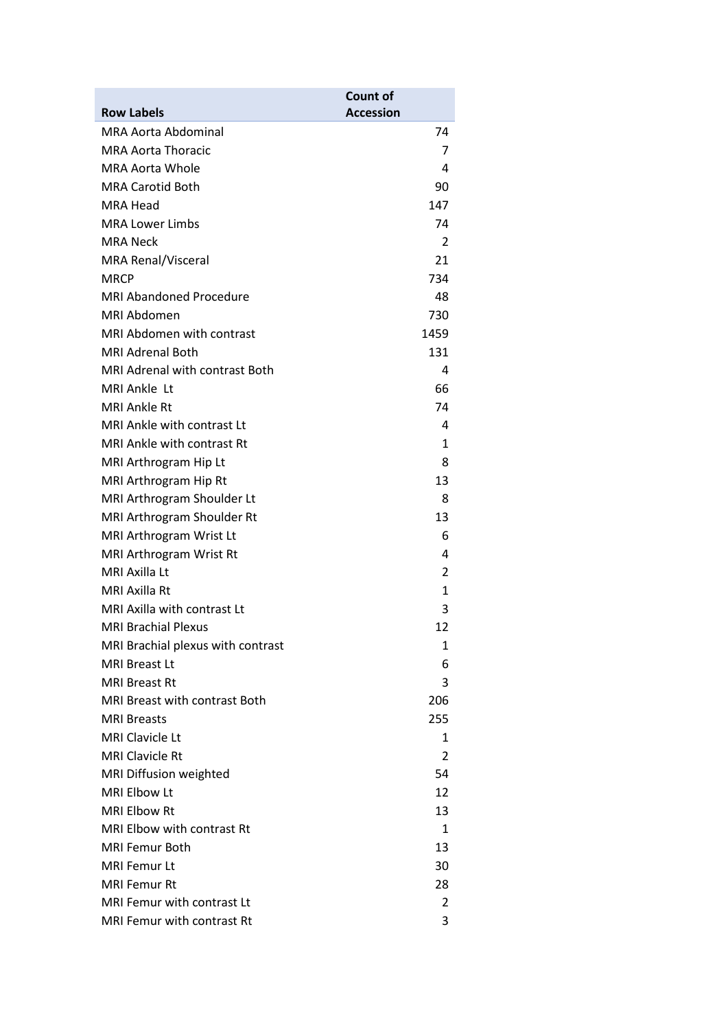|                                       | <b>Count of</b>  |
|---------------------------------------|------------------|
| <b>Row Labels</b>                     | <b>Accession</b> |
| MRA Aorta Abdominal                   | 74               |
| <b>MRA Aorta Thoracic</b>             | 7                |
| <b>MRA Aorta Whole</b>                | 4                |
| <b>MRA Carotid Both</b>               | 90               |
| MRA Head                              | 147              |
| <b>MRA Lower Limbs</b>                | 74               |
| <b>MRA Neck</b>                       | 2                |
| <b>MRA Renal/Visceral</b>             | 21               |
| <b>MRCP</b>                           | 734              |
| <b>MRI Abandoned Procedure</b>        | 48               |
| MRI Abdomen                           | 730              |
| <b>MRI Abdomen with contrast</b>      | 1459             |
| <b>MRI Adrenal Both</b>               | 131              |
| <b>MRI Adrenal with contrast Both</b> | 4                |
| MRI Ankle Lt                          | 66               |
| MRI Ankle Rt                          | 74               |
| MRI Ankle with contrast Lt            | 4                |
| <b>MRI Ankle with contrast Rt</b>     | 1                |
| MRI Arthrogram Hip Lt                 | 8                |
| MRI Arthrogram Hip Rt                 | 13               |
| MRI Arthrogram Shoulder Lt            | 8                |
| MRI Arthrogram Shoulder Rt            | 13               |
| MRI Arthrogram Wrist Lt               | 6                |
| MRI Arthrogram Wrist Rt               | 4                |
| MRI Axilla Lt                         | 2                |
| MRI Axilla Rt                         | 1                |
| MRI Axilla with contrast Lt           | 3                |
| <b>MRI Brachial Plexus</b>            | 12               |
| MRI Brachial plexus with contrast     | 1                |
| <b>MRI Breast Lt</b>                  | 6                |
| MRI Breast Rt                         | 3                |
| MRI Breast with contrast Both         | 206              |
| <b>MRI Breasts</b>                    | 255              |
| <b>MRI Clavicle Lt</b>                | 1                |
| <b>MRI Clavicle Rt</b>                | 2                |
| MRI Diffusion weighted                | 54               |
| MRI Elbow Lt                          | 12               |
| <b>MRI Elbow Rt</b>                   | 13               |
| <b>MRI Elbow with contrast Rt</b>     | 1                |
| <b>MRI Femur Both</b>                 | 13               |
| <b>MRI Femur Lt</b>                   | 30               |
| <b>MRI Femur Rt</b>                   | 28               |
| MRI Femur with contrast Lt            | 2                |
| MRI Femur with contrast Rt            | 3                |
|                                       |                  |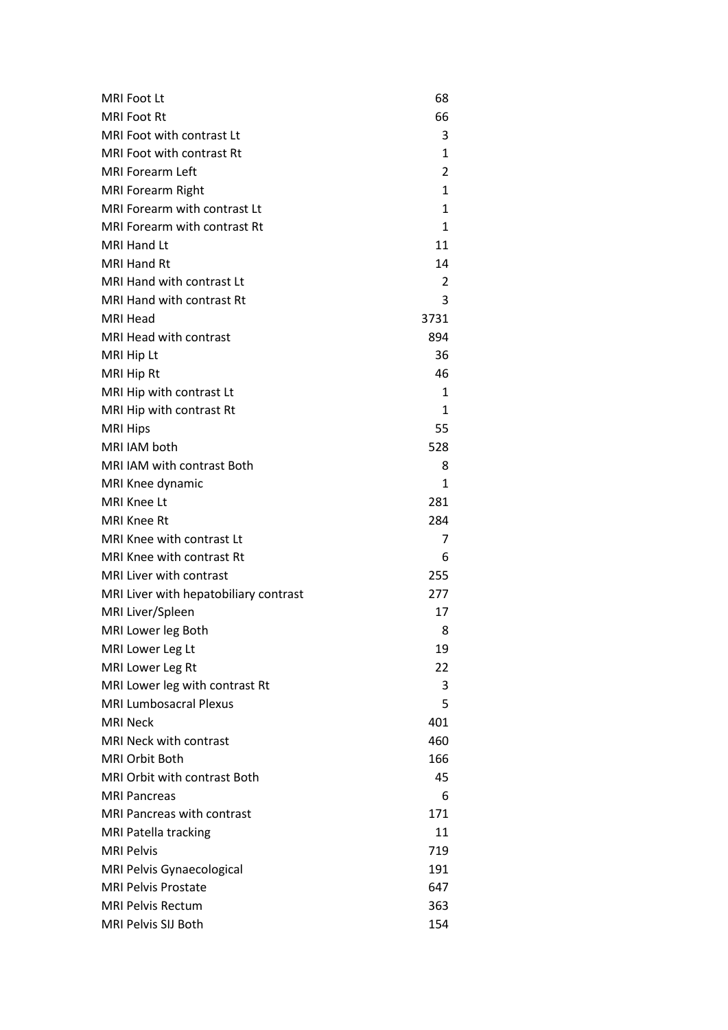| <b>MRI Foot Lt</b>                    | 68   |
|---------------------------------------|------|
| <b>MRI Foot Rt</b>                    | 66   |
| MRI Foot with contrast Lt             | 3    |
| MRI Foot with contrast Rt             | 1    |
| <b>MRI Forearm Left</b>               | 2    |
| <b>MRI Forearm Right</b>              | 1    |
| MRI Forearm with contrast Lt          | 1    |
| <b>MRI Forearm with contrast Rt</b>   | 1    |
| <b>MRI Hand Lt</b>                    | 11   |
| <b>MRI Hand Rt</b>                    | 14   |
| MRI Hand with contrast Lt             | 2    |
| <b>MRI Hand with contrast Rt</b>      | 3    |
| <b>MRI Head</b>                       | 3731 |
| <b>MRI Head with contrast</b>         | 894  |
| MRI Hip Lt                            | 36   |
| MRI Hip Rt                            | 46   |
| MRI Hip with contrast Lt              | 1    |
| MRI Hip with contrast Rt              | 1    |
| <b>MRI Hips</b>                       | 55   |
| MRI IAM both                          | 528  |
| <b>MRI IAM with contrast Both</b>     | 8    |
| MRI Knee dynamic                      | 1    |
| MRI Knee Lt                           | 281  |
| <b>MRI Knee Rt</b>                    | 284  |
| MRI Knee with contrast Lt             | 7    |
| MRI Knee with contrast Rt             | 6    |
| <b>MRI Liver with contrast</b>        | 255  |
| MRI Liver with hepatobiliary contrast | 277  |
| MRI Liver/Spleen                      | 17   |
| MRI Lower leg Both                    | 8    |
| MRI Lower Leg Lt                      | 19   |
| MRI Lower Leg Rt                      | 22   |
| MRI Lower leg with contrast Rt        | 3    |
| <b>MRI Lumbosacral Plexus</b>         | 5    |
| <b>MRI Neck</b>                       | 401  |
| MRI Neck with contrast                | 460  |
| <b>MRI Orbit Both</b>                 | 166  |
| <b>MRI Orbit with contrast Both</b>   | 45   |
| <b>MRI Pancreas</b>                   | 6    |
| <b>MRI Pancreas with contrast</b>     | 171  |
| <b>MRI Patella tracking</b>           | 11   |
| <b>MRI Pelvis</b>                     | 719  |
| <b>MRI Pelvis Gynaecological</b>      | 191  |
| <b>MRI Pelvis Prostate</b>            | 647  |
| <b>MRI Pelvis Rectum</b>              | 363  |
| MRI Pelvis SIJ Both                   | 154  |
|                                       |      |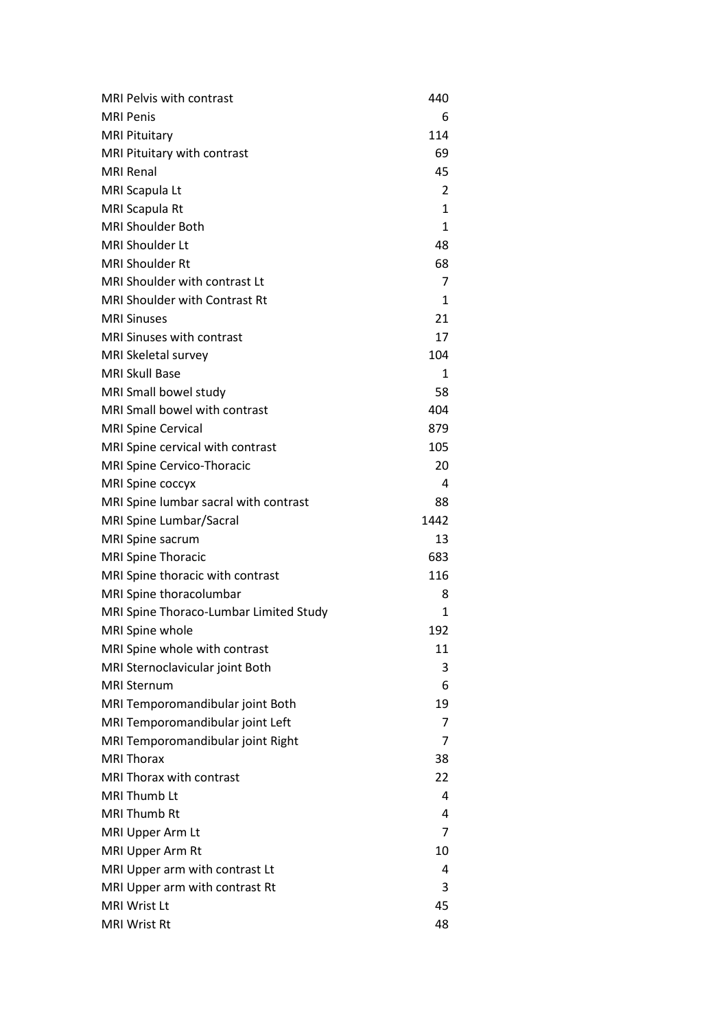| 6<br>114<br>69<br>45<br>2<br>$\mathbf{1}$<br>1<br>48<br>68<br>7<br>1<br>21<br>17<br>104<br>1<br>58<br>404<br>879<br>105<br>20<br>4<br>88<br>1442<br>13<br>683<br>116<br>8<br>1<br>MRI Spine whole<br>192<br>MRI Spine whole with contrast<br>11<br>3<br>6<br>19<br>7<br>7<br>MRI Temporomandibular joint Right<br>38<br>22<br>4<br>4 | MRI Pelvis with contrast               | 440 |
|--------------------------------------------------------------------------------------------------------------------------------------------------------------------------------------------------------------------------------------------------------------------------------------------------------------------------------------|----------------------------------------|-----|
|                                                                                                                                                                                                                                                                                                                                      | <b>MRI Penis</b>                       |     |
|                                                                                                                                                                                                                                                                                                                                      | <b>MRI Pituitary</b>                   |     |
|                                                                                                                                                                                                                                                                                                                                      | MRI Pituitary with contrast            |     |
|                                                                                                                                                                                                                                                                                                                                      | <b>MRI Renal</b>                       |     |
|                                                                                                                                                                                                                                                                                                                                      | MRI Scapula Lt                         |     |
|                                                                                                                                                                                                                                                                                                                                      | MRI Scapula Rt                         |     |
|                                                                                                                                                                                                                                                                                                                                      | <b>MRI Shoulder Both</b>               |     |
|                                                                                                                                                                                                                                                                                                                                      | <b>MRI Shoulder Lt</b>                 |     |
|                                                                                                                                                                                                                                                                                                                                      | <b>MRI Shoulder Rt</b>                 |     |
|                                                                                                                                                                                                                                                                                                                                      | <b>MRI Shoulder with contrast Lt</b>   |     |
|                                                                                                                                                                                                                                                                                                                                      | <b>MRI Shoulder with Contrast Rt</b>   |     |
|                                                                                                                                                                                                                                                                                                                                      | <b>MRI Sinuses</b>                     |     |
|                                                                                                                                                                                                                                                                                                                                      | <b>MRI Sinuses with contrast</b>       |     |
|                                                                                                                                                                                                                                                                                                                                      | MRI Skeletal survey                    |     |
|                                                                                                                                                                                                                                                                                                                                      | <b>MRI Skull Base</b>                  |     |
|                                                                                                                                                                                                                                                                                                                                      | MRI Small bowel study                  |     |
|                                                                                                                                                                                                                                                                                                                                      | <b>MRI Small bowel with contrast</b>   |     |
|                                                                                                                                                                                                                                                                                                                                      | <b>MRI Spine Cervical</b>              |     |
|                                                                                                                                                                                                                                                                                                                                      | MRI Spine cervical with contrast       |     |
|                                                                                                                                                                                                                                                                                                                                      | MRI Spine Cervico-Thoracic             |     |
|                                                                                                                                                                                                                                                                                                                                      | MRI Spine coccyx                       |     |
|                                                                                                                                                                                                                                                                                                                                      | MRI Spine lumbar sacral with contrast  |     |
|                                                                                                                                                                                                                                                                                                                                      | MRI Spine Lumbar/Sacral                |     |
|                                                                                                                                                                                                                                                                                                                                      | MRI Spine sacrum                       |     |
|                                                                                                                                                                                                                                                                                                                                      | <b>MRI Spine Thoracic</b>              |     |
|                                                                                                                                                                                                                                                                                                                                      | MRI Spine thoracic with contrast       |     |
|                                                                                                                                                                                                                                                                                                                                      | MRI Spine thoracolumbar                |     |
|                                                                                                                                                                                                                                                                                                                                      | MRI Spine Thoraco-Lumbar Limited Study |     |
|                                                                                                                                                                                                                                                                                                                                      |                                        |     |
|                                                                                                                                                                                                                                                                                                                                      |                                        |     |
|                                                                                                                                                                                                                                                                                                                                      | MRI Sternoclavicular joint Both        |     |
|                                                                                                                                                                                                                                                                                                                                      | <b>MRI Sternum</b>                     |     |
|                                                                                                                                                                                                                                                                                                                                      | MRI Temporomandibular joint Both       |     |
|                                                                                                                                                                                                                                                                                                                                      | MRI Temporomandibular joint Left       |     |
|                                                                                                                                                                                                                                                                                                                                      |                                        |     |
|                                                                                                                                                                                                                                                                                                                                      | <b>MRI Thorax</b>                      |     |
|                                                                                                                                                                                                                                                                                                                                      | MRI Thorax with contrast               |     |
|                                                                                                                                                                                                                                                                                                                                      | MRI Thumb Lt                           |     |
|                                                                                                                                                                                                                                                                                                                                      | <b>MRI Thumb Rt</b>                    |     |
| 7                                                                                                                                                                                                                                                                                                                                    | MRI Upper Arm Lt                       |     |
| 10                                                                                                                                                                                                                                                                                                                                   | MRI Upper Arm Rt                       |     |
| 4                                                                                                                                                                                                                                                                                                                                    | MRI Upper arm with contrast Lt         |     |
| 3                                                                                                                                                                                                                                                                                                                                    | MRI Upper arm with contrast Rt         |     |
|                                                                                                                                                                                                                                                                                                                                      | <b>MRI Wrist Lt</b>                    | 45  |
|                                                                                                                                                                                                                                                                                                                                      | <b>MRI Wrist Rt</b>                    | 48  |
|                                                                                                                                                                                                                                                                                                                                      |                                        |     |